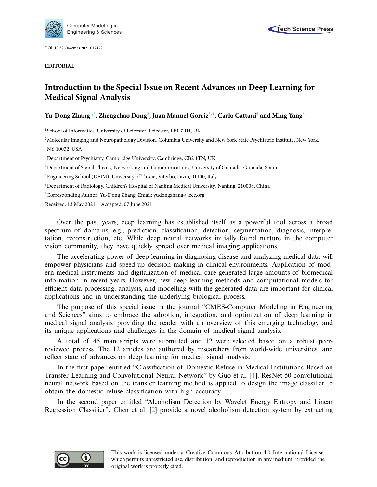

DOI: [10.32604/cmes.2021.017472](http://dx.doi.org/10.32604/cmes.2021.017472)

**EDITORIAL**

## **Introduction to the Special Issue on Recent Advances on Deep Learning for Medical Signal Analysis**

## **Yu-Dong Zhan[g1](#page-0-0)[,\\*,](#page-0-1) Zhengchao Don[g2](#page-0-2) , Juan Manuel Gorri[z3,](#page-0-3)[4,](#page-0-4) Carlo Cattan[i5](#page-0-5) and Ming Yan[g6](#page-0-6)**

<span id="page-0-0"></span><sup>1</sup>School of Informatics, University of Leicester, Leicester, LE1 7RH, UK

<span id="page-0-2"></span><sup>2</sup>Molecular Imaging and Neuropathology Division, Columbia University and New York State Psychiatric Institute, New York, NY 10032, USA

<span id="page-0-3"></span><sup>3</sup>Department of Psychiatry, Cambridge University, Cambridge, CB2 1TN, UK

<span id="page-0-4"></span>4Department of Signal Theory, Networking and Communications, University of Granada, Granada, Spain

<span id="page-0-5"></span>5 Engineering School (DEIM), University of Tuscia, Viterbo, Lazio, 01100, Italy

<span id="page-0-6"></span>6 Department of Radiology, Children's Hospital of Nanjing Medical University, Nanjing, 210008, China

<span id="page-0-1"></span>\* Corresponding Author: Yu-Dong Zhang. Email: yudongzhang@ieee.org

Received: 13 May 2021 Accepted: 07 June 2021

Over the past years, deep learning has established itself as a powerful tool across a broad spectrum of domains, e.g., prediction, classification, detection, segmentation, diagnosis, interpretation, reconstruction, etc. While deep neural networks initially found nurture in the computer vision community, they have quickly spread over medical imaging applications.

The accelerating power of deep learning in diagnosing disease and analyzing medical data will empower physicians and speed-up decision making in clinical environments. Application of modern medical instruments and digitalization of medical care generated large amounts of biomedical information in recent years. However, new deep learning methods and computational models for efficient data processing, analysis, and modelling with the generated data are important for clinical applications and in understanding the underlying biological process.

The purpose of this special issue in the journal "CMES-Computer Modeling in Engineering and Sciences" aims to embrace the adoption, integration, and optimization of deep learning in medical signal analysis, providing the reader with an overview of this emerging technology and its unique applications and challenges in the domain of medical signal analysis.

A total of 45 manuscripts were submitted and 12 were selected based on a robust peerreviewed process. The 12 articles are authored by researchers from world-wide universities, and reflect state of advances on deep learning for medical signal analysis.

In the first paper entitled "Classification of Domestic Refuse in Medical Institutions Based on Transfer Learning and Convolutional Neural Network" by Guo et al. [\[1\]](#page-2-0), ResNet-50 convolutional neural network based on the transfer learning method is applied to design the image classifier to obtain the domestic refuse classification with high accuracy.

In the second paper entitled "Alcoholism Detection by Wavelet Energy Entropy and Linear Regression Classifier", Chen et al. [\[2\]](#page-2-1) provide a novel alcoholism detection system by extracting

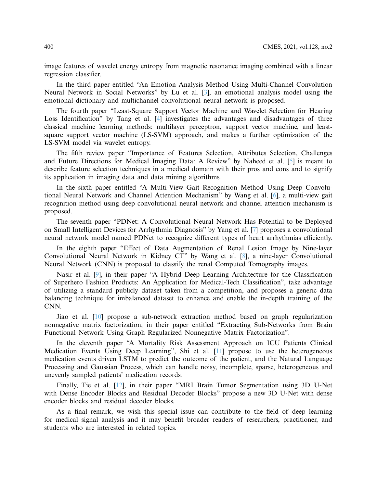image features of wavelet energy entropy from magnetic resonance imaging combined with a linear regression classifier.

In the third paper entitled "An Emotion Analysis Method Using Multi-Channel Convolution Neural Network in Social Networks" by Lu et al. [\[3\]](#page-2-2), an emotional analysis model using the emotional dictionary and multichannel convolutional neural network is proposed.

The fourth paper "Least-Square Support Vector Machine and Wavelet Selection for Hearing Loss Identification" by Tang et al. [\[4\]](#page-2-3) investigates the advantages and disadvantages of three classical machine learning methods: multilayer perceptron, support vector machine, and leastsquare support vector machine (LS-SVM) approach, and makes a further optimization of the LS-SVM model via wavelet entropy.

The fifth review paper "Importance of Features Selection, Attributes Selection, Challenges and Future Directions for Medical Imaging Data: A Review" by Naheed et al. [\[5\]](#page-2-4) is meant to describe feature selection techniques in a medical domain with their pros and cons and to signify its application in imaging data and data mining algorithms.

In the sixth paper entitled "A Multi-View Gait Recognition Method Using Deep Convolutional Neural Network and Channel Attention Mechanism" by Wang et al. [\[6\]](#page-2-5), a multi-view gait recognition method using deep convolutional neural network and channel attention mechanism is proposed.

The seventh paper "PDNet: A Convolutional Neural Network Has Potential to be Deployed on Small Intelligent Devices for Arrhythmia Diagnosis" by Yang et al. [\[7\]](#page-2-6) proposes a convolutional neural network model named PDNet to recognize different types of heart arrhythmias efficiently.

In the eighth paper "Effect of Data Augmentation of Renal Lesion Image by Nine-layer Convolutional Neural Network in Kidney CT" by Wang et al. [\[8\]](#page-2-7), a nine-layer Convolutional Neural Network (CNN) is proposed to classify the renal Computed Tomography images.

Nasir et al. [\[9\]](#page-2-8), in their paper "A Hybrid Deep Learning Architecture for the Classification of Superhero Fashion Products: An Application for Medical-Tech Classification", take advantage of utilizing a standard publicly dataset taken from a competition, and proposes a generic data balancing technique for imbalanced dataset to enhance and enable the in-depth training of the CNN.

Jiao et al. [\[10\]](#page-2-9) propose a sub-network extraction method based on graph regularization nonnegative matrix factorization, in their paper entitled "Extracting Sub-Networks from Brain Functional Network Using Graph Regularized Nonnegative Matrix Factorization".

In the eleventh paper "A Mortality Risk Assessment Approach on ICU Patients Clinical Medication Events Using Deep Learning", Shi et al. [\[11\]](#page-2-10) propose to use the heterogeneous medication events driven LSTM to predict the outcome of the patient, and the Natural Language Processing and Gaussian Process, which can handle noisy, incomplete, sparse, heterogeneous and unevenly sampled patients' medication records.

Finally, Tie et al. [\[12\]](#page-2-11), in their paper "MRI Brain Tumor Segmentation using 3D U-Net with Dense Encoder Blocks and Residual Decoder Blocks" propose a new 3D U-Net with dense encoder blocks and residual decoder blocks.

As a final remark, we wish this special issue can contribute to the field of deep learning for medical signal analysis and it may benefit broader readers of researchers, practitioner, and students who are interested in related topics.